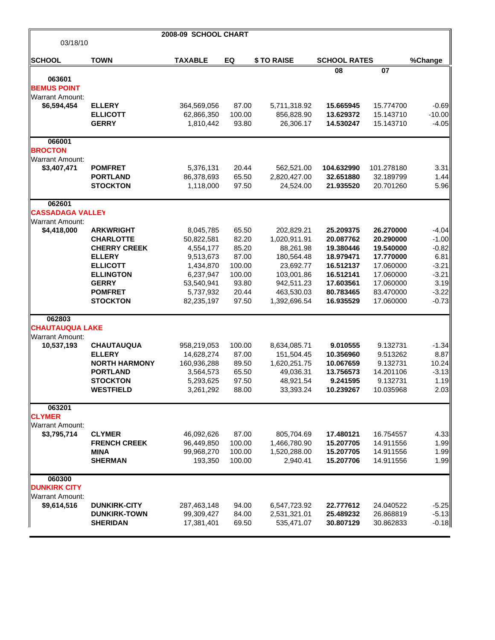|                         |                                        | 2008-09 SCHOOL CHART     |                |              |                       |                       |              |
|-------------------------|----------------------------------------|--------------------------|----------------|--------------|-----------------------|-----------------------|--------------|
| 03/18/10                |                                        |                          |                |              |                       |                       |              |
| <b>SCHOOL</b>           | <b>TOWN</b>                            | <b>TAXABLE</b>           | EQ             | \$ TO RAISE  | <b>SCHOOL RATES</b>   |                       | %Change      |
|                         |                                        |                          |                |              | 08                    | 07                    |              |
| 063601                  |                                        |                          |                |              |                       |                       |              |
| <b>BEMUS POINT</b>      |                                        |                          |                |              |                       |                       |              |
| <b>Warrant Amount:</b>  |                                        |                          |                |              |                       |                       |              |
| \$6,594,454             | <b>ELLERY</b>                          | 364,569,056              | 87.00          | 5,711,318.92 | 15.665945             | 15.774700             | $-0.69$      |
|                         | <b>ELLICOTT</b>                        | 62,866,350               | 100.00         | 856,828.90   | 13.629372             | 15.143710             | $-10.00$     |
|                         | <b>GERRY</b>                           | 1,810,442                | 93.80          | 26,306.17    | 14.530247             | 15.143710             | $-4.05$      |
| 066001                  |                                        |                          |                |              |                       |                       |              |
| <b>BROCTON</b>          |                                        |                          |                |              |                       |                       |              |
| <b>Warrant Amount:</b>  |                                        |                          |                |              |                       |                       |              |
| \$3,407,471             | <b>POMFRET</b>                         | 5,376,131                | 20.44          | 562,521.00   | 104.632990            | 101.278180            | 3.31         |
|                         | <b>PORTLAND</b>                        | 86,378,693               | 65.50          | 2,820,427.00 | 32.651880             | 32.189799             | 1.44         |
|                         | <b>STOCKTON</b>                        | 1,118,000                | 97.50          | 24,524.00    | 21.935520             | 20.701260             | 5.96         |
| 062601                  |                                        |                          |                |              |                       |                       |              |
| <b>CASSADAGA VALLEY</b> |                                        |                          |                |              |                       |                       |              |
| <b>Warrant Amount:</b>  |                                        |                          |                |              |                       |                       |              |
| \$4,418,000             | <b>ARKWRIGHT</b>                       | 8,045,785                | 65.50          | 202,829.21   | 25.209375             | 26.270000             | $-4.04$      |
|                         | <b>CHARLOTTE</b>                       | 50,822,581               | 82.20          | 1,020,911.91 | 20.087762             | 20.290000             | $-1.00$      |
|                         | <b>CHERRY CREEK</b>                    | 4,554,177                | 85.20          | 88,261.98    | 19.380446             | 19.540000             | $-0.82$      |
|                         | <b>ELLERY</b>                          | 9,513,673                | 87.00          | 180,564.48   | 18.979471             | 17.770000             | 6.81         |
|                         | <b>ELLICOTT</b>                        | 1,434,870                | 100.00         | 23,692.77    | 16.512137             | 17.060000             | $-3.21$      |
|                         | <b>ELLINGTON</b>                       | 6,237,947                | 100.00         | 103,001.86   | 16.512141             | 17.060000             | $-3.21$      |
|                         | <b>GERRY</b>                           | 53,540,941               | 93.80          | 942,511.23   | 17.603561             | 17.060000             | 3.19         |
|                         | <b>POMFRET</b>                         | 5,737,932                | 20.44          | 463,530.03   | 80.783465             | 83.470000             | $-3.22$      |
|                         | <b>STOCKTON</b>                        | 82,235,197               | 97.50          | 1,392,696.54 | 16.935529             | 17.060000             | $-0.73$      |
| 062803                  |                                        |                          |                |              |                       |                       |              |
| <b>CHAUTAUQUA LAKE</b>  |                                        |                          |                |              |                       |                       |              |
| <b>Warrant Amount:</b>  |                                        |                          |                |              |                       |                       |              |
| 10,537,193              | <b>CHAUTAUQUA</b>                      | 958,219,053              | 100.00         | 8,634,085.71 | 9.010555              | 9.132731              | $-1.34$      |
|                         | <b>ELLERY</b>                          | 14,628,274               | 87.00          | 151,504.45   | 10.356960             | 9.513262              | 8.87         |
|                         | <b>NORTH HARMONY</b>                   | 160,936,288              | 89.50          | 1,620,251.75 | 10.067659             | 9.132731              | 10.24        |
|                         | <b>PORTLAND</b>                        | 3,564,573                | 65.50          | 49,036.31    | 13.756573<br>9.241595 | 14.201106<br>9.132731 | $-3.13$      |
|                         | <b>STOCKTON</b><br><b>WESTFIELD</b>    | 5,293,625                | 97.50<br>88.00 | 48,921.54    |                       | 10.035968             | 1.19<br>2.03 |
|                         |                                        | 3,261,292                |                | 33,393.24    | 10.239267             |                       |              |
| 063201                  |                                        |                          |                |              |                       |                       |              |
| <b>CLYMER</b>           |                                        |                          |                |              |                       |                       |              |
| <b>Warrant Amount:</b>  |                                        |                          |                |              |                       |                       |              |
| \$3,795,714             | <b>CLYMER</b>                          | 46,092,626               | 87.00          | 805,704.69   | 17.480121             | 16.754557             | 4.33         |
|                         | <b>FRENCH CREEK</b>                    | 96,449,850               | 100.00         | 1,466,780.90 | 15.207705             | 14.911556             | 1.99         |
|                         | <b>MINA</b>                            | 99,968,270               | 100.00         | 1,520,288.00 | 15.207705             | 14.911556             | 1.99         |
|                         | <b>SHERMAN</b>                         | 193,350                  | 100.00         | 2,940.41     | 15.207706             | 14.911556             | 1.99         |
| 060300                  |                                        |                          |                |              |                       |                       |              |
| <b>DUNKIRK CITY</b>     |                                        |                          |                |              |                       |                       |              |
| <b>Warrant Amount:</b>  |                                        |                          |                |              |                       |                       |              |
| \$9,614,516             | <b>DUNKIRK-CITY</b>                    | 287,463,148              | 94.00          | 6,547,723.92 | 22.777612             | 24.040522             | $-5.25$      |
|                         | <b>DUNKIRK-TOWN</b><br><b>SHERIDAN</b> | 99,309,427<br>17,381,401 | 84.00          | 2,531,321.01 | 25.489232             | 26.868819             | $-5.13$      |
|                         |                                        |                          | 69.50          | 535,471.07   | 30.807129             | 30.862833             | $-0.18$      |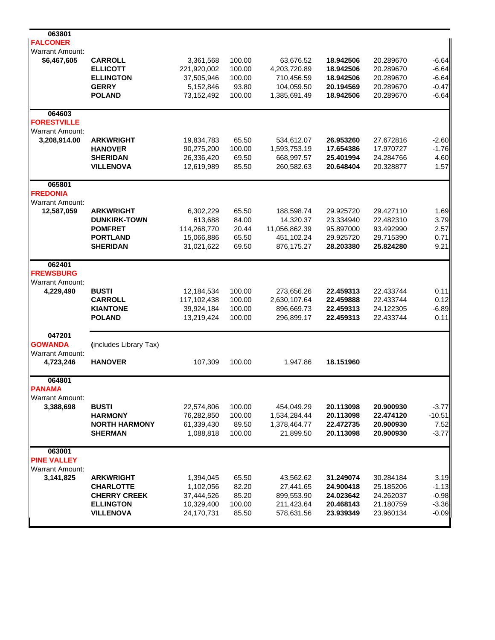| Warrant Amount:<br>\$6,467,605<br><b>CARROLL</b><br>3,361,568<br>100.00<br>63,676.52<br>18.942506<br>20.289670<br>100.00<br>4,203,720.89<br><b>ELLICOTT</b><br>221,920,002<br>18.942506<br>20.289670<br>100.00<br><b>ELLINGTON</b><br>37,505,946<br>710,456.59<br>18.942506<br>20.289670<br>93.80<br><b>GERRY</b><br>5,152,846<br>104,059.50<br>20.194569<br>20.289670<br><b>POLAND</b><br>73,152,492<br>100.00<br>1,385,691.49<br>18.942506<br>20.289670<br>064603<br><b>FORESTVILLE</b><br><b>Warrant Amount:</b><br>3,208,914.00<br><b>ARKWRIGHT</b><br>19,834,783<br>65.50<br>534,612.07<br>26.953260<br>27.672816<br>100.00<br>1,593,753.19<br><b>HANOVER</b><br>90,275,200<br>17.654386<br>17.970727<br>69.50<br><b>SHERIDAN</b><br>26,336,420<br>668,997.57<br>25.401994<br>24.284766<br>85.50<br><b>VILLENOVA</b><br>12,619,989<br>260,582.63<br>20.648404<br>20.328877<br>065801<br><b>FREDONIA</b><br><b>Warrant Amount:</b><br>12,587,059<br><b>ARKWRIGHT</b><br>65.50<br>188,598.74<br>29.925720<br>29.427110<br>6,302,229<br>84.00<br><b>DUNKIRK-TOWN</b><br>613,688<br>14,320.37<br>23.334940<br>22.482310<br>114,268,770<br>20.44<br>11,056,862.39<br><b>POMFRET</b><br>95.897000<br>93.492990<br>65.50<br>451,102.24<br><b>PORTLAND</b><br>15,066,886<br>29.925720<br>29.715390<br><b>SHERIDAN</b><br>69.50<br>876,175.27<br>28.203380<br>25.824280<br>31,021,622<br>062401<br><b>FREWSBURG</b><br><b>Warrant Amount:</b><br><b>BUSTI</b><br>100.00<br>4,229,490<br>12,184,534<br>273,656.26<br>22.459313<br>22.433744<br><b>CARROLL</b><br>117,102,438<br>100.00<br>2,630,107.64<br>22.459888<br>22.433744<br><b>KIANTONE</b><br>39,924,184<br>100.00<br>896,669.73<br>22.459313<br>24.122305<br>100.00<br>296,899.17<br><b>POLAND</b><br>13,219,424<br>22.459313<br>22.433744<br>047201<br><b>GOWANDA</b><br>(includes Library Tax)<br><b>Warrant Amount:</b><br><b>HANOVER</b><br>18.151960<br>107,309<br>100.00<br>1,947.86<br>4,723,246<br>064801<br><b>PANAMA</b><br><b>Warrant Amount:</b><br>3,388,698<br><b>BUSTI</b><br>100.00<br>454,049.29<br>20.113098<br>20.900930<br>22,574,806<br><b>HARMONY</b><br>76,282,850<br>100.00<br>1,534,284.44<br>20.113098<br>22.474120<br><b>NORTH HARMONY</b><br>61,339,430<br>89.50<br>1,378,464.77<br>20.900930<br>22.472735<br><b>SHERMAN</b><br>1,088,818<br>100.00<br>21,899.50<br>20.113098<br>20.900930<br>063001<br><b>PINE VALLEY</b><br><b>Warrant Amount:</b><br>3,141,825<br><b>ARKWRIGHT</b><br>65.50<br>43,562.62<br>31.249074<br>30.284184<br>1,394,045<br>82.20<br><b>CHARLOTTE</b><br>1,102,056<br>27,441.65<br>24.900418<br>25.185206<br>85.20<br>899,553.90<br><b>CHERRY CREEK</b><br>37,444,526<br>24.023642<br>24.262037<br>211,423.64<br>10,329,400<br>100.00<br>20.468143<br><b>ELLINGTON</b><br>21.180759<br>24,170,731<br><b>VILLENOVA</b><br>85.50<br>578,631.56<br>23.939349<br>23.960134 | 063801          |  |  |  |         |
|-----------------------------------------------------------------------------------------------------------------------------------------------------------------------------------------------------------------------------------------------------------------------------------------------------------------------------------------------------------------------------------------------------------------------------------------------------------------------------------------------------------------------------------------------------------------------------------------------------------------------------------------------------------------------------------------------------------------------------------------------------------------------------------------------------------------------------------------------------------------------------------------------------------------------------------------------------------------------------------------------------------------------------------------------------------------------------------------------------------------------------------------------------------------------------------------------------------------------------------------------------------------------------------------------------------------------------------------------------------------------------------------------------------------------------------------------------------------------------------------------------------------------------------------------------------------------------------------------------------------------------------------------------------------------------------------------------------------------------------------------------------------------------------------------------------------------------------------------------------------------------------------------------------------------------------------------------------------------------------------------------------------------------------------------------------------------------------------------------------------------------------------------------------------------------------------------------------------------------------------------------------------------------------------------------------------------------------------------------------------------------------------------------------------------------------------------------------------------------------------------------------------------------------------------------------------------------------------------------------------------------------------------------------------------------------------------------------------------------------------------------------------------------------------------------------------------------------------------------------------------------------|-----------------|--|--|--|---------|
| $-6.64$                                                                                                                                                                                                                                                                                                                                                                                                                                                                                                                                                                                                                                                                                                                                                                                                                                                                                                                                                                                                                                                                                                                                                                                                                                                                                                                                                                                                                                                                                                                                                                                                                                                                                                                                                                                                                                                                                                                                                                                                                                                                                                                                                                                                                                                                                                                                                                                                                                                                                                                                                                                                                                                                                                                                                                                                                                                                           | <b>FALCONER</b> |  |  |  |         |
| $-6.64$                                                                                                                                                                                                                                                                                                                                                                                                                                                                                                                                                                                                                                                                                                                                                                                                                                                                                                                                                                                                                                                                                                                                                                                                                                                                                                                                                                                                                                                                                                                                                                                                                                                                                                                                                                                                                                                                                                                                                                                                                                                                                                                                                                                                                                                                                                                                                                                                                                                                                                                                                                                                                                                                                                                                                                                                                                                                           |                 |  |  |  |         |
|                                                                                                                                                                                                                                                                                                                                                                                                                                                                                                                                                                                                                                                                                                                                                                                                                                                                                                                                                                                                                                                                                                                                                                                                                                                                                                                                                                                                                                                                                                                                                                                                                                                                                                                                                                                                                                                                                                                                                                                                                                                                                                                                                                                                                                                                                                                                                                                                                                                                                                                                                                                                                                                                                                                                                                                                                                                                                   |                 |  |  |  |         |
| $-0.47$<br>$-6.64$<br>$-2.60$<br>$-1.76$<br>4.60<br>1.57<br>1.69<br>3.79<br>2.57<br>0.71<br>9.21<br>0.11<br>0.12<br>$-6.89$<br>0.11                                                                                                                                                                                                                                                                                                                                                                                                                                                                                                                                                                                                                                                                                                                                                                                                                                                                                                                                                                                                                                                                                                                                                                                                                                                                                                                                                                                                                                                                                                                                                                                                                                                                                                                                                                                                                                                                                                                                                                                                                                                                                                                                                                                                                                                                                                                                                                                                                                                                                                                                                                                                                                                                                                                                               |                 |  |  |  | $-6.64$ |
|                                                                                                                                                                                                                                                                                                                                                                                                                                                                                                                                                                                                                                                                                                                                                                                                                                                                                                                                                                                                                                                                                                                                                                                                                                                                                                                                                                                                                                                                                                                                                                                                                                                                                                                                                                                                                                                                                                                                                                                                                                                                                                                                                                                                                                                                                                                                                                                                                                                                                                                                                                                                                                                                                                                                                                                                                                                                                   |                 |  |  |  |         |
|                                                                                                                                                                                                                                                                                                                                                                                                                                                                                                                                                                                                                                                                                                                                                                                                                                                                                                                                                                                                                                                                                                                                                                                                                                                                                                                                                                                                                                                                                                                                                                                                                                                                                                                                                                                                                                                                                                                                                                                                                                                                                                                                                                                                                                                                                                                                                                                                                                                                                                                                                                                                                                                                                                                                                                                                                                                                                   |                 |  |  |  |         |
|                                                                                                                                                                                                                                                                                                                                                                                                                                                                                                                                                                                                                                                                                                                                                                                                                                                                                                                                                                                                                                                                                                                                                                                                                                                                                                                                                                                                                                                                                                                                                                                                                                                                                                                                                                                                                                                                                                                                                                                                                                                                                                                                                                                                                                                                                                                                                                                                                                                                                                                                                                                                                                                                                                                                                                                                                                                                                   |                 |  |  |  |         |
|                                                                                                                                                                                                                                                                                                                                                                                                                                                                                                                                                                                                                                                                                                                                                                                                                                                                                                                                                                                                                                                                                                                                                                                                                                                                                                                                                                                                                                                                                                                                                                                                                                                                                                                                                                                                                                                                                                                                                                                                                                                                                                                                                                                                                                                                                                                                                                                                                                                                                                                                                                                                                                                                                                                                                                                                                                                                                   |                 |  |  |  |         |
|                                                                                                                                                                                                                                                                                                                                                                                                                                                                                                                                                                                                                                                                                                                                                                                                                                                                                                                                                                                                                                                                                                                                                                                                                                                                                                                                                                                                                                                                                                                                                                                                                                                                                                                                                                                                                                                                                                                                                                                                                                                                                                                                                                                                                                                                                                                                                                                                                                                                                                                                                                                                                                                                                                                                                                                                                                                                                   |                 |  |  |  |         |
|                                                                                                                                                                                                                                                                                                                                                                                                                                                                                                                                                                                                                                                                                                                                                                                                                                                                                                                                                                                                                                                                                                                                                                                                                                                                                                                                                                                                                                                                                                                                                                                                                                                                                                                                                                                                                                                                                                                                                                                                                                                                                                                                                                                                                                                                                                                                                                                                                                                                                                                                                                                                                                                                                                                                                                                                                                                                                   |                 |  |  |  |         |
|                                                                                                                                                                                                                                                                                                                                                                                                                                                                                                                                                                                                                                                                                                                                                                                                                                                                                                                                                                                                                                                                                                                                                                                                                                                                                                                                                                                                                                                                                                                                                                                                                                                                                                                                                                                                                                                                                                                                                                                                                                                                                                                                                                                                                                                                                                                                                                                                                                                                                                                                                                                                                                                                                                                                                                                                                                                                                   |                 |  |  |  |         |
|                                                                                                                                                                                                                                                                                                                                                                                                                                                                                                                                                                                                                                                                                                                                                                                                                                                                                                                                                                                                                                                                                                                                                                                                                                                                                                                                                                                                                                                                                                                                                                                                                                                                                                                                                                                                                                                                                                                                                                                                                                                                                                                                                                                                                                                                                                                                                                                                                                                                                                                                                                                                                                                                                                                                                                                                                                                                                   |                 |  |  |  |         |
|                                                                                                                                                                                                                                                                                                                                                                                                                                                                                                                                                                                                                                                                                                                                                                                                                                                                                                                                                                                                                                                                                                                                                                                                                                                                                                                                                                                                                                                                                                                                                                                                                                                                                                                                                                                                                                                                                                                                                                                                                                                                                                                                                                                                                                                                                                                                                                                                                                                                                                                                                                                                                                                                                                                                                                                                                                                                                   |                 |  |  |  |         |
|                                                                                                                                                                                                                                                                                                                                                                                                                                                                                                                                                                                                                                                                                                                                                                                                                                                                                                                                                                                                                                                                                                                                                                                                                                                                                                                                                                                                                                                                                                                                                                                                                                                                                                                                                                                                                                                                                                                                                                                                                                                                                                                                                                                                                                                                                                                                                                                                                                                                                                                                                                                                                                                                                                                                                                                                                                                                                   |                 |  |  |  |         |
|                                                                                                                                                                                                                                                                                                                                                                                                                                                                                                                                                                                                                                                                                                                                                                                                                                                                                                                                                                                                                                                                                                                                                                                                                                                                                                                                                                                                                                                                                                                                                                                                                                                                                                                                                                                                                                                                                                                                                                                                                                                                                                                                                                                                                                                                                                                                                                                                                                                                                                                                                                                                                                                                                                                                                                                                                                                                                   |                 |  |  |  |         |
|                                                                                                                                                                                                                                                                                                                                                                                                                                                                                                                                                                                                                                                                                                                                                                                                                                                                                                                                                                                                                                                                                                                                                                                                                                                                                                                                                                                                                                                                                                                                                                                                                                                                                                                                                                                                                                                                                                                                                                                                                                                                                                                                                                                                                                                                                                                                                                                                                                                                                                                                                                                                                                                                                                                                                                                                                                                                                   |                 |  |  |  |         |
|                                                                                                                                                                                                                                                                                                                                                                                                                                                                                                                                                                                                                                                                                                                                                                                                                                                                                                                                                                                                                                                                                                                                                                                                                                                                                                                                                                                                                                                                                                                                                                                                                                                                                                                                                                                                                                                                                                                                                                                                                                                                                                                                                                                                                                                                                                                                                                                                                                                                                                                                                                                                                                                                                                                                                                                                                                                                                   |                 |  |  |  |         |
|                                                                                                                                                                                                                                                                                                                                                                                                                                                                                                                                                                                                                                                                                                                                                                                                                                                                                                                                                                                                                                                                                                                                                                                                                                                                                                                                                                                                                                                                                                                                                                                                                                                                                                                                                                                                                                                                                                                                                                                                                                                                                                                                                                                                                                                                                                                                                                                                                                                                                                                                                                                                                                                                                                                                                                                                                                                                                   |                 |  |  |  |         |
|                                                                                                                                                                                                                                                                                                                                                                                                                                                                                                                                                                                                                                                                                                                                                                                                                                                                                                                                                                                                                                                                                                                                                                                                                                                                                                                                                                                                                                                                                                                                                                                                                                                                                                                                                                                                                                                                                                                                                                                                                                                                                                                                                                                                                                                                                                                                                                                                                                                                                                                                                                                                                                                                                                                                                                                                                                                                                   |                 |  |  |  |         |
|                                                                                                                                                                                                                                                                                                                                                                                                                                                                                                                                                                                                                                                                                                                                                                                                                                                                                                                                                                                                                                                                                                                                                                                                                                                                                                                                                                                                                                                                                                                                                                                                                                                                                                                                                                                                                                                                                                                                                                                                                                                                                                                                                                                                                                                                                                                                                                                                                                                                                                                                                                                                                                                                                                                                                                                                                                                                                   |                 |  |  |  |         |
|                                                                                                                                                                                                                                                                                                                                                                                                                                                                                                                                                                                                                                                                                                                                                                                                                                                                                                                                                                                                                                                                                                                                                                                                                                                                                                                                                                                                                                                                                                                                                                                                                                                                                                                                                                                                                                                                                                                                                                                                                                                                                                                                                                                                                                                                                                                                                                                                                                                                                                                                                                                                                                                                                                                                                                                                                                                                                   |                 |  |  |  |         |
|                                                                                                                                                                                                                                                                                                                                                                                                                                                                                                                                                                                                                                                                                                                                                                                                                                                                                                                                                                                                                                                                                                                                                                                                                                                                                                                                                                                                                                                                                                                                                                                                                                                                                                                                                                                                                                                                                                                                                                                                                                                                                                                                                                                                                                                                                                                                                                                                                                                                                                                                                                                                                                                                                                                                                                                                                                                                                   |                 |  |  |  |         |
|                                                                                                                                                                                                                                                                                                                                                                                                                                                                                                                                                                                                                                                                                                                                                                                                                                                                                                                                                                                                                                                                                                                                                                                                                                                                                                                                                                                                                                                                                                                                                                                                                                                                                                                                                                                                                                                                                                                                                                                                                                                                                                                                                                                                                                                                                                                                                                                                                                                                                                                                                                                                                                                                                                                                                                                                                                                                                   |                 |  |  |  |         |
|                                                                                                                                                                                                                                                                                                                                                                                                                                                                                                                                                                                                                                                                                                                                                                                                                                                                                                                                                                                                                                                                                                                                                                                                                                                                                                                                                                                                                                                                                                                                                                                                                                                                                                                                                                                                                                                                                                                                                                                                                                                                                                                                                                                                                                                                                                                                                                                                                                                                                                                                                                                                                                                                                                                                                                                                                                                                                   |                 |  |  |  |         |
|                                                                                                                                                                                                                                                                                                                                                                                                                                                                                                                                                                                                                                                                                                                                                                                                                                                                                                                                                                                                                                                                                                                                                                                                                                                                                                                                                                                                                                                                                                                                                                                                                                                                                                                                                                                                                                                                                                                                                                                                                                                                                                                                                                                                                                                                                                                                                                                                                                                                                                                                                                                                                                                                                                                                                                                                                                                                                   |                 |  |  |  |         |
|                                                                                                                                                                                                                                                                                                                                                                                                                                                                                                                                                                                                                                                                                                                                                                                                                                                                                                                                                                                                                                                                                                                                                                                                                                                                                                                                                                                                                                                                                                                                                                                                                                                                                                                                                                                                                                                                                                                                                                                                                                                                                                                                                                                                                                                                                                                                                                                                                                                                                                                                                                                                                                                                                                                                                                                                                                                                                   |                 |  |  |  |         |
| $-3.77$<br>$-10.51$<br>7.52<br>$-3.77$<br>3.19<br>$-1.13$<br>$-0.98$<br>$-3.36$<br>$-0.09$                                                                                                                                                                                                                                                                                                                                                                                                                                                                                                                                                                                                                                                                                                                                                                                                                                                                                                                                                                                                                                                                                                                                                                                                                                                                                                                                                                                                                                                                                                                                                                                                                                                                                                                                                                                                                                                                                                                                                                                                                                                                                                                                                                                                                                                                                                                                                                                                                                                                                                                                                                                                                                                                                                                                                                                        |                 |  |  |  |         |
|                                                                                                                                                                                                                                                                                                                                                                                                                                                                                                                                                                                                                                                                                                                                                                                                                                                                                                                                                                                                                                                                                                                                                                                                                                                                                                                                                                                                                                                                                                                                                                                                                                                                                                                                                                                                                                                                                                                                                                                                                                                                                                                                                                                                                                                                                                                                                                                                                                                                                                                                                                                                                                                                                                                                                                                                                                                                                   |                 |  |  |  |         |
|                                                                                                                                                                                                                                                                                                                                                                                                                                                                                                                                                                                                                                                                                                                                                                                                                                                                                                                                                                                                                                                                                                                                                                                                                                                                                                                                                                                                                                                                                                                                                                                                                                                                                                                                                                                                                                                                                                                                                                                                                                                                                                                                                                                                                                                                                                                                                                                                                                                                                                                                                                                                                                                                                                                                                                                                                                                                                   |                 |  |  |  |         |
|                                                                                                                                                                                                                                                                                                                                                                                                                                                                                                                                                                                                                                                                                                                                                                                                                                                                                                                                                                                                                                                                                                                                                                                                                                                                                                                                                                                                                                                                                                                                                                                                                                                                                                                                                                                                                                                                                                                                                                                                                                                                                                                                                                                                                                                                                                                                                                                                                                                                                                                                                                                                                                                                                                                                                                                                                                                                                   |                 |  |  |  |         |
|                                                                                                                                                                                                                                                                                                                                                                                                                                                                                                                                                                                                                                                                                                                                                                                                                                                                                                                                                                                                                                                                                                                                                                                                                                                                                                                                                                                                                                                                                                                                                                                                                                                                                                                                                                                                                                                                                                                                                                                                                                                                                                                                                                                                                                                                                                                                                                                                                                                                                                                                                                                                                                                                                                                                                                                                                                                                                   |                 |  |  |  |         |
|                                                                                                                                                                                                                                                                                                                                                                                                                                                                                                                                                                                                                                                                                                                                                                                                                                                                                                                                                                                                                                                                                                                                                                                                                                                                                                                                                                                                                                                                                                                                                                                                                                                                                                                                                                                                                                                                                                                                                                                                                                                                                                                                                                                                                                                                                                                                                                                                                                                                                                                                                                                                                                                                                                                                                                                                                                                                                   |                 |  |  |  |         |
|                                                                                                                                                                                                                                                                                                                                                                                                                                                                                                                                                                                                                                                                                                                                                                                                                                                                                                                                                                                                                                                                                                                                                                                                                                                                                                                                                                                                                                                                                                                                                                                                                                                                                                                                                                                                                                                                                                                                                                                                                                                                                                                                                                                                                                                                                                                                                                                                                                                                                                                                                                                                                                                                                                                                                                                                                                                                                   |                 |  |  |  |         |
|                                                                                                                                                                                                                                                                                                                                                                                                                                                                                                                                                                                                                                                                                                                                                                                                                                                                                                                                                                                                                                                                                                                                                                                                                                                                                                                                                                                                                                                                                                                                                                                                                                                                                                                                                                                                                                                                                                                                                                                                                                                                                                                                                                                                                                                                                                                                                                                                                                                                                                                                                                                                                                                                                                                                                                                                                                                                                   |                 |  |  |  |         |
|                                                                                                                                                                                                                                                                                                                                                                                                                                                                                                                                                                                                                                                                                                                                                                                                                                                                                                                                                                                                                                                                                                                                                                                                                                                                                                                                                                                                                                                                                                                                                                                                                                                                                                                                                                                                                                                                                                                                                                                                                                                                                                                                                                                                                                                                                                                                                                                                                                                                                                                                                                                                                                                                                                                                                                                                                                                                                   |                 |  |  |  |         |
|                                                                                                                                                                                                                                                                                                                                                                                                                                                                                                                                                                                                                                                                                                                                                                                                                                                                                                                                                                                                                                                                                                                                                                                                                                                                                                                                                                                                                                                                                                                                                                                                                                                                                                                                                                                                                                                                                                                                                                                                                                                                                                                                                                                                                                                                                                                                                                                                                                                                                                                                                                                                                                                                                                                                                                                                                                                                                   |                 |  |  |  |         |
|                                                                                                                                                                                                                                                                                                                                                                                                                                                                                                                                                                                                                                                                                                                                                                                                                                                                                                                                                                                                                                                                                                                                                                                                                                                                                                                                                                                                                                                                                                                                                                                                                                                                                                                                                                                                                                                                                                                                                                                                                                                                                                                                                                                                                                                                                                                                                                                                                                                                                                                                                                                                                                                                                                                                                                                                                                                                                   |                 |  |  |  |         |
|                                                                                                                                                                                                                                                                                                                                                                                                                                                                                                                                                                                                                                                                                                                                                                                                                                                                                                                                                                                                                                                                                                                                                                                                                                                                                                                                                                                                                                                                                                                                                                                                                                                                                                                                                                                                                                                                                                                                                                                                                                                                                                                                                                                                                                                                                                                                                                                                                                                                                                                                                                                                                                                                                                                                                                                                                                                                                   |                 |  |  |  |         |
|                                                                                                                                                                                                                                                                                                                                                                                                                                                                                                                                                                                                                                                                                                                                                                                                                                                                                                                                                                                                                                                                                                                                                                                                                                                                                                                                                                                                                                                                                                                                                                                                                                                                                                                                                                                                                                                                                                                                                                                                                                                                                                                                                                                                                                                                                                                                                                                                                                                                                                                                                                                                                                                                                                                                                                                                                                                                                   |                 |  |  |  |         |
|                                                                                                                                                                                                                                                                                                                                                                                                                                                                                                                                                                                                                                                                                                                                                                                                                                                                                                                                                                                                                                                                                                                                                                                                                                                                                                                                                                                                                                                                                                                                                                                                                                                                                                                                                                                                                                                                                                                                                                                                                                                                                                                                                                                                                                                                                                                                                                                                                                                                                                                                                                                                                                                                                                                                                                                                                                                                                   |                 |  |  |  |         |
|                                                                                                                                                                                                                                                                                                                                                                                                                                                                                                                                                                                                                                                                                                                                                                                                                                                                                                                                                                                                                                                                                                                                                                                                                                                                                                                                                                                                                                                                                                                                                                                                                                                                                                                                                                                                                                                                                                                                                                                                                                                                                                                                                                                                                                                                                                                                                                                                                                                                                                                                                                                                                                                                                                                                                                                                                                                                                   |                 |  |  |  |         |